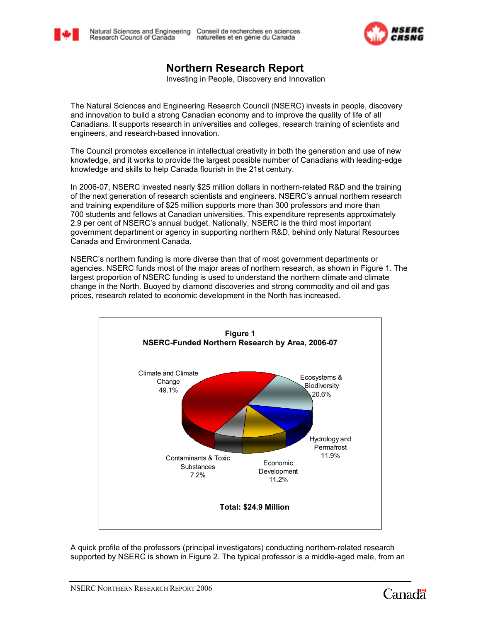



# **Northern Research Report**

Investing in People, Discovery and Innovation

The Natural Sciences and Engineering Research Council (NSERC) invests in people, discovery and innovation to build a strong Canadian economy and to improve the quality of life of all Canadians. It supports research in universities and colleges, research training of scientists and engineers, and research-based innovation.

The Council promotes excellence in intellectual creativity in both the generation and use of new knowledge, and it works to provide the largest possible number of Canadians with leading-edge knowledge and skills to help Canada flourish in the 21st century.

In 2006-07, NSERC invested nearly \$25 million dollars in northern-related R&D and the training of the next generation of research scientists and engineers. NSERC's annual northern research and training expenditure of \$25 million supports more than 300 professors and more than 700 students and fellows at Canadian universities. This expenditure represents approximately 2.9 per cent of NSERC's annual budget. Nationally, NSERC is the third most important government department or agency in supporting northern R&D, behind only Natural Resources Canada and Environment Canada.

NSERC's northern funding is more diverse than that of most government departments or agencies. NSERC funds most of the major areas of northern research, as shown in Figure 1. The largest proportion of NSERC funding is used to understand the northern climate and climate change in the North. Buoyed by diamond discoveries and strong commodity and oil and gas prices, research related to economic development in the North has increased.



A quick profile of the professors (principal investigators) conducting northern-related research supported by NSERC is shown in Figure 2. The typical professor is a middle-aged male, from an

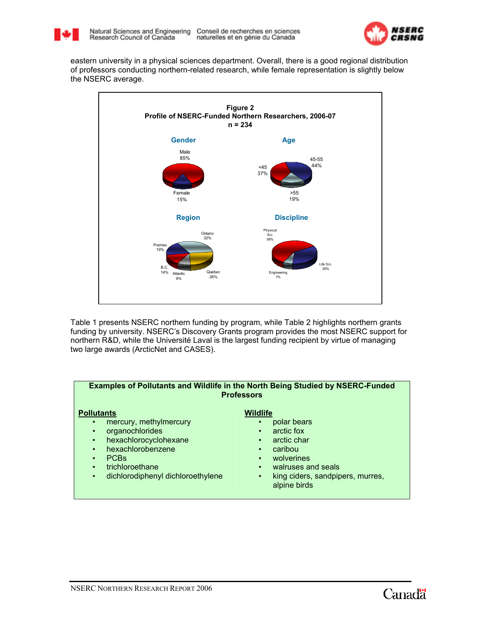



eastern university in a physical sciences department. Overall, there is a good regional distribution of professors conducting northern-related research, while female representation is slightly below the NSERC average.



Table 1 presents NSERC northern funding by program, while Table 2 highlights northern grants funding by university. NSERC's Discovery Grants program provides the most NSERC support for northern R&D, while the Université Laval is the largest funding recipient by virtue of managing two large awards (ArcticNet and CASES).

| <b>Examples of Pollutants and Wildlife in the North Being Studied by NSERC-Funded</b><br><b>Professors</b> |                                  |  |  |  |  |
|------------------------------------------------------------------------------------------------------------|----------------------------------|--|--|--|--|
| <b>Pollutants</b>                                                                                          | <b>Wildlife</b>                  |  |  |  |  |
| mercury, methylmercury<br>$\bullet$                                                                        | polar bears                      |  |  |  |  |
| organochlorides                                                                                            | arctic fox                       |  |  |  |  |
| $\bullet$                                                                                                  | $\bullet$                        |  |  |  |  |
| hexachlorocyclohexane                                                                                      | arctic char                      |  |  |  |  |
| $\bullet$                                                                                                  | $\bullet$                        |  |  |  |  |
| hexachlorobenzene                                                                                          | caribou                          |  |  |  |  |
| $\bullet$                                                                                                  | $\bullet$                        |  |  |  |  |
| <b>PCBs</b>                                                                                                | wolverines                       |  |  |  |  |
| $\bullet$                                                                                                  | $\bullet$                        |  |  |  |  |
| trichloroethane                                                                                            | walruses and seals               |  |  |  |  |
| $\bullet$                                                                                                  | $\bullet$                        |  |  |  |  |
| dichlorodiphenyl dichloroethylene                                                                          | king ciders, sandpipers, murres, |  |  |  |  |
| $\bullet$                                                                                                  | $\bullet$                        |  |  |  |  |

alpine birds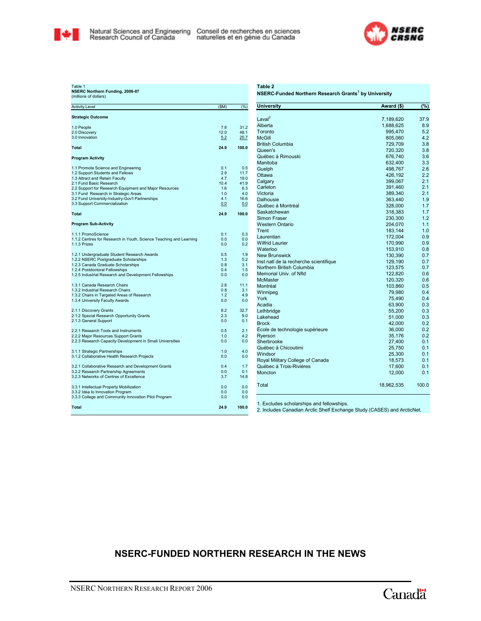

Conseil de recherches en sciences naturelles et en génie du Canada



2.2.3 Research Capacity Development in Small Universities

3.3.3 College and Community Innovation Pilot Program

3.1.1 Strategic Partnerships 1.0 4.0 3.1.2 Collaborative Health Research Projects 0.0 0.0 3.2.1 Collaborative Research and Development Grants 0.4 1.7 3.2.2 Research Partnership Agreements 0.0 0.1 3.2.3 Networks of Centres of Excellence 3.7 14.8 3.3.1 Intellectual Property Mobilization 0.0 0.0 0.0 0.0 3.3.2 Idea to Innovation Program 0.0 0.0

**Total 24.9 100.0**

| Table 1<br>NSERC Northern Funding, 2006-07<br>(millions of dollars)                               |            |            | Table 2<br>NSERC-Funded Northern Research Grants <sup>1</sup> by University |           |      |
|---------------------------------------------------------------------------------------------------|------------|------------|-----------------------------------------------------------------------------|-----------|------|
|                                                                                                   |            |            |                                                                             |           |      |
|                                                                                                   |            |            |                                                                             |           |      |
| <b>Strategic Outcome</b>                                                                          |            |            | $L$ aval <sup>2</sup>                                                       | 7.189.620 | 37.9 |
| 1.0 People                                                                                        | 7.8        | 31.2       | Alberta                                                                     | 1,688,625 | 8.9  |
| 2.0 Discovery                                                                                     | 12.0       | 48.1       | Toronto                                                                     | 995,470   | 5.2  |
| 3.0 Innovation                                                                                    | 5.2        | 20.7       | <b>McGill</b>                                                               | 805,060   | 4.2  |
|                                                                                                   |            |            | <b>British Columbia</b>                                                     | 729,709   | 3.8  |
| <b>Total</b>                                                                                      | 24.9       | 100.0      | Queen's                                                                     | 720,320   | 3.8  |
|                                                                                                   |            |            | Québec à Rimouski                                                           | 676.740   | 3.6  |
| <b>Program Activity</b>                                                                           |            |            | Manitoba                                                                    | 632.400   | 3.3  |
| 1.1 Promote Science and Engineering                                                               | 0.1        | 0.5        | Guelph                                                                      | 498.767   | 2.6  |
| 1.2 Support Students and Fellows                                                                  | 2.9        | 11.7       | Ottawa                                                                      | 426,192   | 2.2  |
| 1.3 Attract and Retain Faculty                                                                    | 4.7        | 19.0       |                                                                             | 399,067   | 2.1  |
| 2.1 Fund Basic Research                                                                           | 10.4       | 41.9       | Calgary                                                                     |           |      |
| 2.2 Support for Research Equipment and Major Resources                                            | 1.6        | 6.3        | Carleton                                                                    | 391,460   | 2.1  |
| 3.1 Fund Research in Strategic Areas                                                              | 1.0        | 4.0        | Victoria                                                                    | 389,340   | 2.1  |
| 3.2 Fund University-Industry-Gov't Partnerships                                                   | 4.1<br>0.0 | 16.6       | Dalhousie                                                                   | 363.440   | 1.9  |
| 3.3 Support Commercialization                                                                     |            | 0.0        | Québec à Montréal                                                           | 328,000   | 1.7  |
| Total<br><b>Program Sub-Activity</b>                                                              | 24.9       | 100.0      | Saskatchewan                                                                | 318,383   | 1.7  |
|                                                                                                   |            |            | Simon Fraser                                                                | 230,300   | 1.2  |
|                                                                                                   |            |            | <b>Western Ontario</b>                                                      | 204,070   | 1.1  |
|                                                                                                   |            |            | Trent                                                                       | 183.144   | 1.0  |
| 1.1.1 PromoScience                                                                                | 0.1        | 0.3        | Laurentian                                                                  | 172.004   | 0.9  |
| 1.1.2 Centres for Research in Youth, Science Teaching and Learning                                | 0.0        | 0.0        | <b>Wilfrid Laurier</b>                                                      | 170,990   | 0.9  |
| 1.1.3 Prizes                                                                                      | 0.0        | 0.2        | Waterloo                                                                    | 153,910   | 0.8  |
| 1.2.1 Undergraduate Student Research Awards                                                       | 0.5        | 1.9        | <b>New Brunswick</b>                                                        |           | 0.7  |
| 1.2.2 NSERC Postgraduate Scholarships                                                             | 1.3        | 5.2        |                                                                             | 130,390   |      |
| 1.2.3 Canada Graduate Scholarships                                                                | 0.8        | 3.1        | Inst natl de la recherche scientifique                                      | 129,190   | 0.7  |
| 1.2.4 Postdoctoral Fellowships                                                                    | 0.4        | 1.5        | Northern British Columbia                                                   | 123,575   | 0.7  |
| 1.2.5 Industrial Research and Development Fellowships                                             | 0.0        | 0.0        | Memorial Univ. of Nfld                                                      | 122.820   | 0.6  |
|                                                                                                   |            |            | <b>McMaster</b>                                                             | 120,320   | 0.6  |
| 1.3.1 Canada Research Chairs                                                                      | 2.8        | 11.1       | Montréal                                                                    | 103,860   | 0.5  |
| 1.3.2 Industrial Research Chairs                                                                  | 0.8<br>1.2 | 3.1<br>4.9 | Winnipeg                                                                    | 79,980    | 0.4  |
| 1.3.2 Chairs in Targeted Areas of Research<br>1.3.4 University Faculty Awards                     | 0.0        | 0.0        | York                                                                        | 75,490    | 0.4  |
|                                                                                                   |            |            | Acadia                                                                      | 63,900    | 0.3  |
| 2.1.1 Discovery Grants                                                                            | 8.2        | 32.7       | Lethbridge                                                                  | 55,200    | 0.3  |
| 2.1.2 Special Research Opportunity Grants                                                         | 2.3        | 9.0        | Lakehead                                                                    | 51,000    | 0.3  |
| 2.1.3 General Support                                                                             | 0.0        | 0.1        | <b>Brock</b>                                                                | 42,000    | 0.2  |
|                                                                                                   |            |            | École de technologie supérieure                                             | 36,000    | 0.2  |
| 2.2.1 Research Tools and Instruments                                                              | 0.5        | 2.1        |                                                                             |           | 0.2  |
| 2.2.2 Major Resources Support Grants<br>2.2.3 Research Capacity Development in Small Universities | 1.0<br>0.0 | 4.2<br>0.0 | Ryerson                                                                     | 35,176    |      |
|                                                                                                   |            |            | Sherbrooke                                                                  | 27.400    | 0.1  |

Sherbrooke 27,400 0.1<br>Québec à Chicoutimi de la propone de 25,750 0.1 Québec à Chicoutimi 25,750 0.1 Windsor 25,300<br>Royal Military College of Canada 2001 18,573 Royal Military College of Canada 18,573 0.1<br>
Québec à Trois-Rivières 17,600 0.1 Québec à Trois-Rivières 17,600 0.1<br>Moncton 12,000 0.1

Total 18,962,535 100.0

2. Includes Canadian Arctic Shelf Exchange Study (CASES) and ArcticNet.

# **NSERC-FUNDED NORTHERN RESEARCH IN THE NEWS**

Moncton

1. Excludes scholarships and fellowships.